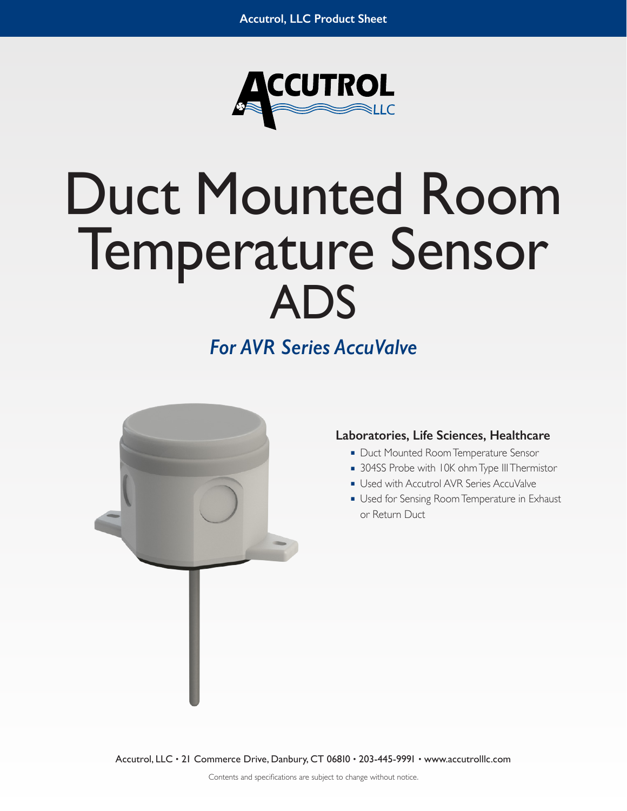

# Duct Mounted Room Temperature Sensor ADS

# *For AVR Series AccuValve*



# **Laboratories, Life Sciences, Healthcare**

- Duct Mounted Room Temperature Sensor
- 304SS Probe with 10K ohm Type III Thermistor
- Used with Accutrol AVR Series AccuValve
- Used for Sensing Room Temperature in Exhaust or Return Duct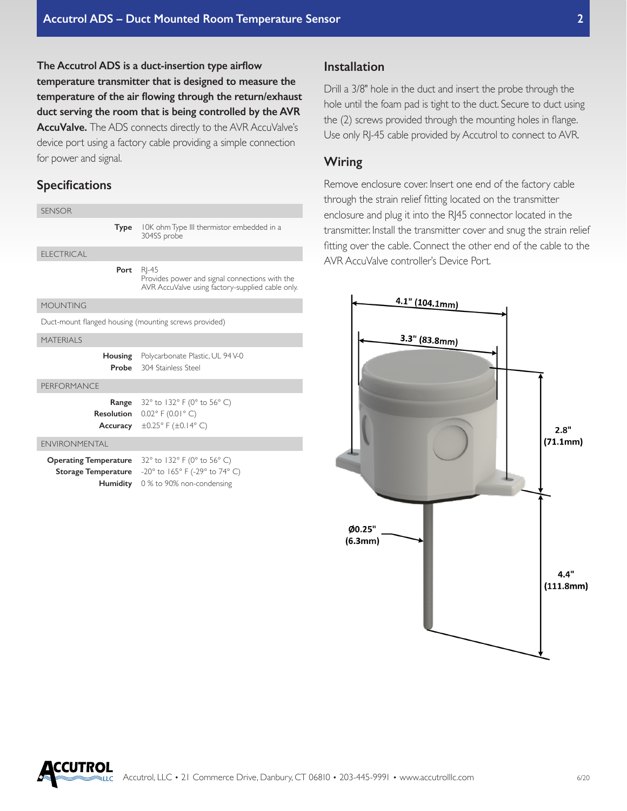**The Accutrol ADS is a duct-insertion type airflow temperature transmitter that is designed to measure the temperature of the air flowing through the return/exhaust duct serving the room that is being controlled by the AVR**  AccuValve. The ADS connects directly to the AVR AccuValve's device port using a factory cable providing a simple connection for power and signal.

#### **Specifications**

| <b>SENSOR</b>                                              |                                                                                                                                                        |
|------------------------------------------------------------|--------------------------------------------------------------------------------------------------------------------------------------------------------|
| Type                                                       | 10K ohm Type III thermistor embedded in a<br>304SS probe                                                                                               |
| <b>ELECTRICAL</b>                                          |                                                                                                                                                        |
| Port                                                       | RI-45<br>Provides power and signal connections with the<br>AVR AccuValve using factory-supplied cable only.                                            |
| MOUNTING                                                   |                                                                                                                                                        |
| Duct-mount flanged housing (mounting screws provided)      |                                                                                                                                                        |
| <b>MATFRIALS</b>                                           |                                                                                                                                                        |
|                                                            | <b>Housing</b> Polycarbonate Plastic, UL 94 V-0<br><b>Probe</b> 304 Stainless Steel                                                                    |
| PERFORMANCE                                                |                                                                                                                                                        |
|                                                            | <b>Range</b> $32^{\circ}$ to 132° F (0° to 56° C)<br><b>Resolution</b> $0.02^{\circ}$ F (0.01° C)<br>Accuracy $\pm 0.25^\circ$ F ( $\pm 0.14^\circ$ C) |
| <b>FNVIRONMENTAL</b>                                       |                                                                                                                                                        |
| <b>Operating Temperature</b><br><b>Storage Temperature</b> | 32° to 132° F (0° to 56° C)<br>-20° to 165° F (-29° to 74° C)<br>Humidity 0% to 90% non-condensing                                                     |

### **Installation**

Drill a 3/8" hole in the duct and insert the probe through the hole until the foam pad is tight to the duct. Secure to duct using the (2) screws provided through the mounting holes in flange. Use only RJ-45 cable provided by Accutrol to connect to AVR.

#### **Wiring**

Remove enclosure cover. Insert one end of the factory cable through the strain relief fitting located on the transmitter enclosure and plug it into the RJ45 connector located in the transmitter. Install the transmitter cover and snug the strain relief fitting over the cable. Connect the other end of the cable to the AVR AccuValve controller's Device Port.